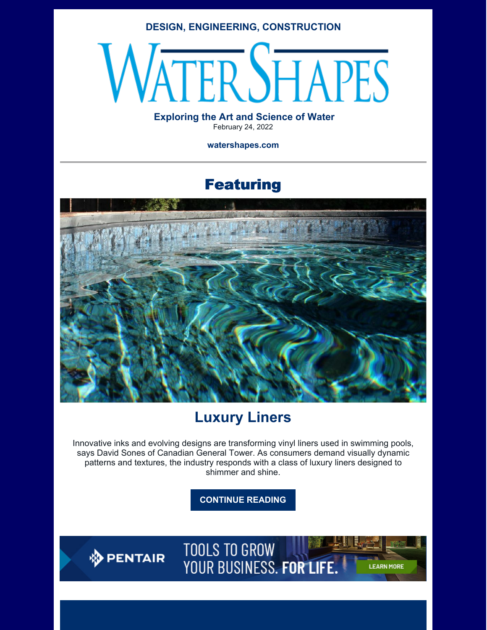#### **DESIGN, ENGINEERING, CONSTRUCTION**

# **ERSHAPES**

#### **Exploring the Art and Science of Water** February 24, 2022

**watershapes.com**

## Featuring



## **Luxury Liners**

Innovative inks and evolving designs are transforming vinyl liners used in swimming pools, says David Sones of Canadian General Tower. As consumers demand visually dynamic patterns and textures, the industry responds with a class of luxury liners designed to shimmer and shine.

**[CONTINUE](https://watershapes.com/luxury-liners-2/) READING**

**DENTAIR** 

**TOOLS TO GROW** YOUR BUSINESS. FOR LIFE.

**LEARN MORE**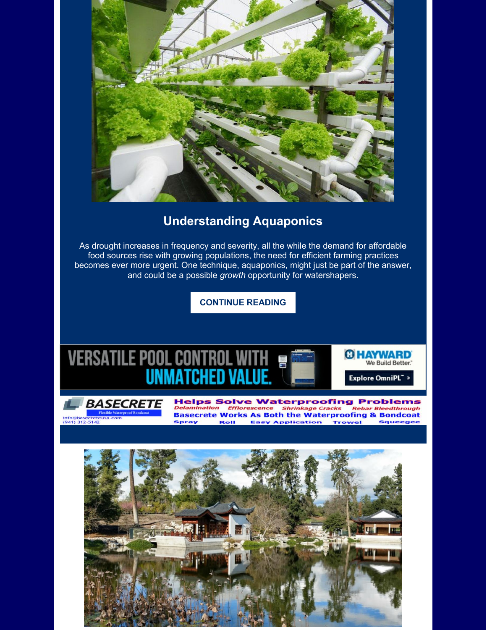

### **Understanding Aquaponics**

As drought increases in frequency and severity, all the while the demand for affordable food sources rise with growing populations, the need for efficient farming practices becomes ever more urgent. One technique, aquaponics, might just be part of the answer, and could be a possible *growth* opportunity for watershapers.

**[CONTINUE](https://watershapes.com/understanding-aquaponics/) READING**





**Helps Solve Waterproofing Problems Basecrete Works As Both the Waterproofing & Bondcoat** Spray **Roll Easy Application** Trowel Squeege